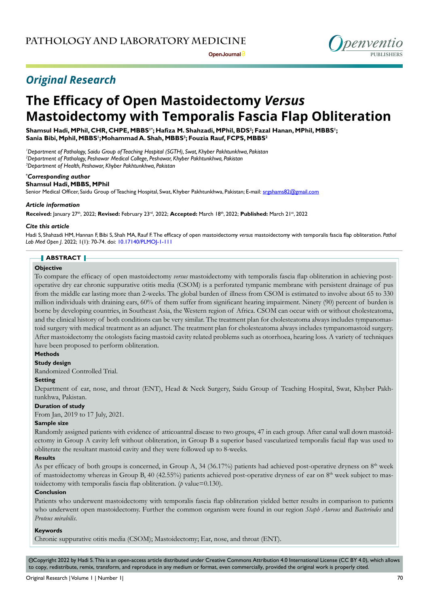

# **The Efficacy of Open Mastoidectomy** *Versus* **Mastoidectomy with Temporalis Fascia Flap Obliteration**

**Shamsul Hadi, MPhil, CHR, CHPE, MBBS1\*; Hafiza M. Shahzadi, MPhil, BDS<sup>2</sup> ; Fazal Hanan, MPhil, MBBS<sup>1</sup> ; Sania Bibi, Mphil, MBBS<sup>1</sup> ;Mohammad A. Shah, MBBS<sup>3</sup> ; Fouzia Rauf, FCPS, MBBS<sup>2</sup>**

*1 Department of Pathology, Saidu Group of Teaching Hospital (SGTH), Swat, Khyber Pakhtunkhwa, Pakistan 2 Department of Pathology, Peshawar Medical College, Peshawar, Khyber Pakhtunkhwa, Pakistan 3 Department of Health, Peshawar, Khyber Pakhtunkhwa, Pakistan*

#### *\* Corresponding author*

## **Shamsul Hadi, MBBS, MPhil**

Senior Medical Officer, Saidu Group of Teaching Hospital, Swat, Khyber Pakhtunkhwa, Pakistan; E-mail: srgshams82@gmail.com

## *Article information*

**Received:** January 27th, 2022; **Revised:** February 23rd, 2022; **Accepted:** March 18th, 2022; **Published:** March 21st, 2022

#### *Cite this article*

Hadi S, Shahzadi HM, Hannan F, Bibi S, Shah MA, Rauf F. The efficacy of open mastoidectomy *versus* mastoidectomy with temporalis fascia flap obliteration. *Pathol Lab Med Open J*. 2022; 1(1): 70-74. doi: [10.17140/PLMOJ-1-111](http://dx.doi.org/10.17140/PLMOJ-1-111)

## **ABSTRACT**

## **Objective**

To compare the efficacy of open mastoidectomy *versus* mastoidectomy with temporalis fascia flap obliteration in achieving postoperative dry ear chronic suppurative otitis media (CSOM) is a perforated tympanic membrane with persistent drainage of pus from the middle ear lasting more than 2-weeks. The global burden of illness from CSOM is estimated to involve about 65 to 330 million individuals with draining ears, 60% of them suffer from significant hearing impairment. Ninety (90) percent of burden is borne by developing countries, in Southeast Asia, the Western region of Africa. CSOM can occur with or without cholesteatoma, and the clinical history of both conditions can be very similar. The treatment plan for cholesteatoma always includes tympanomastoid surgery with medical treatment as an adjunct. The treatment plan for cholesteatoma always includes tympanomastoid surgery. After mastoidectomy the otologists facing mastoid cavity related problems such as otorrhoea, hearing loss. A variety of techniques have been proposed to perform obliteration.

## **Methods**

### **Study design**

Randomized Controlled Trial.

#### **Setting**

Department of ear, nose, and throat (ENT), Head & Neck Surgery, Saidu Group of Teaching Hospital, Swat, Khyber Pakhtunkhwa, Pakistan.

### **Duration of study**

From Jan, 2019 to 17 July, 2021.

## **Sample size**

Randomly assigned patients with evidence of atticoantral disease to two groups, 47 in each group. After canal wall down mastoidectomy in Group A cavity left without obliteration, in Group B a superior based vascularized temporalis facial flap was used to obliterate the resultant mastoid cavity and they were followed up to 8-weeks.

### **Results**

As per efficacy of both groups is concerned, in Group A, 34 (36.17%) patients had achieved post-operative dryness on  $8<sup>th</sup>$  week of mastoidectomy whereas in Group B, 40 (42.55%) patients achieved post-operative dryness of ear on  $8<sup>th</sup>$  week subject to mastoidectomy with temporalis fascia flap obliteration. (*p* value=0.130).

#### **Conclusion**

Patients who underwent mastoidectomy with temporalis fascia flap obliteration yielded better results in comparison to patients who underwent open mastoidectomy. Further the common organism were found in our region *Staph Aureus* and *Bacteriodes* and *Proteus mirabilis*.

#### **Keywords**

Chronic suppurative otitis media (CSOM); Mastoidectomy; Ear, nose, and throat (ENT).

©Copyright 2022 by Hadi S. This is an open-access article distributed under Creative Commons Attribution 4.0 International License ([CC BY 4.0](https://creativecommons.org/licenses/by/4.0/)), which allows to copy, redistribute, remix, transform, and reproduce in any medium or format, even commercially, provided the original work is properly cited.

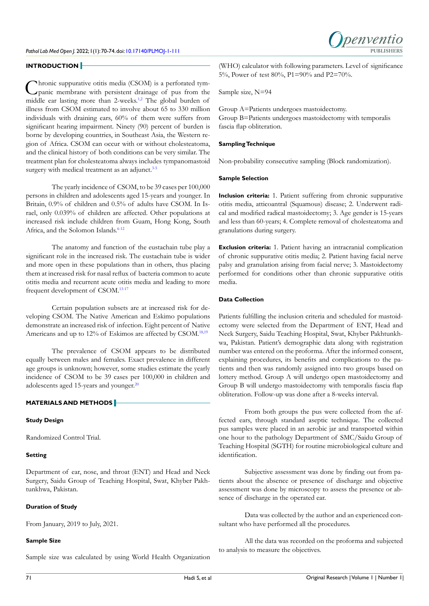#### **INTRODUCTION**

Chronic suppurative otitis media (CSOM) is a perforated tym-<br>panic membrane with persistent drainage of pus from the middle ear lasting more than 2-weeks.<sup>1,2</sup> The global burden of illness from CSOM estimated to involve about 65 to 330 million individuals with draining ears, 60% of them were suffers from significant hearing impairment. Ninety (90) percent of burden is borne by developing countries, in Southeast Asia, the Western region of Africa. CSOM can occur with or without cholesteatoma, and the clinical history of both conditions can be very similar. The treatment plan for cholesteatoma always includes tympanomastoid surgery with medical treatment as an adjunct. $3-5$ 

The yearly incidence of CSOM, to be 39 cases per 100,000 persons in children and adolescents aged 15-years and younger. In Britain, 0.9% of children and 0.5% of adults have CSOM. In Israel, only 0.039% of children are affected. Other populations at increased risk include children from Guam, Hong Kong, South Africa, and the Solomon Islands.<sup>[6-12](#page-3-2)</sup>

The anatomy and function of the eustachain tube play a significant role in the increased risk. The eustachain tube is wider and more open in these populations than in others, thus placing them at increased risk for nasal reflux of bacteria common to acute otitis media and recurrent acute otitis media and leading to more frequent development of CSOM.[13-17](#page-4-0)

Certain population subsets are at increased risk for developing CSOM. The Native American and Eskimo populations demonstrate an increased risk of infection. Eight percent of Native Americans and up to 12% of Eskimos are affected by CSOM.<sup>18,19</sup>

The prevalence of CSOM appears to be distributed equally between males and females. Exact prevalence in different age groups is unknown; however, some studies estimate the yearly incidence of CSOM to be 39 cases per 100,000 in children and adolescents aged 15-years and younger.<sup>20</sup>

## **MATERIALS AND METHODS**

## **Study Design**

Randomized Control Trial.

## **Setting**

Department of ear, nose, and throat (ENT) and Head and Neck Surgery, Saidu Group of Teaching Hospital, Swat, Khyber Pakhtunkhwa, Pakistan.

## **Duration of Study**

From January, 2019 to July, 2021.

## **Sample Size**

Sample size was calculated by using World Health Organization

(WHO) calculator with following parameters. Level of significance 5%, Power of test 80%, P1=90% and P2=70%.

Sample size, N=94

Group A=Patients undergoes mastoidectomy. Group B=Patients undergoes mastoidectomy with temporalis fascia flap obliteration.

#### **Sampling Technique**

Non-probability consecutive sampling (Block randomization).

#### **Sample Selection**

**Inclusion criteria:** 1. Patient suffering from chronic suppurative otitis media, atticoantral (Squamous) disease; 2. Underwent radical and modified radical mastoidectomy; 3. Age gender is 15-years and less than 60-years; 4. Complete removal of cholesteatoma and granulations during surgery.

**Exclusion criteria:** 1. Patient having an intracranial complication of chronic suppurative otitis media; 2. Patient having facial nerve palsy and granulation arising from facial nerve; 3. Mastoidectomy performed for conditions other than chronic suppurative otitis media.

## **Data Collection**

Patients fulfilling the inclusion criteria and scheduled for mastoidectomy were selected from the Department of ENT, Head and Neck Surgery, Saidu Teaching Hospital, Swat, Khyber Pakhtunkhwa, Pakistan. Patient's demographic data along with registration number was entered on the proforma. After the informed consent, explaining procedures, its benefits and complications to the patients and then was randomly assigned into two groups based on lottery method. Group A will undergo open mastoidectomy and Group B will undergo mastoidectomy with temporalis fascia flap obliteration. Follow-up was done after a 8-weeks interval.

From both groups the pus were collected from the affected ears, through standard aseptic technique. The collected pus samples were placed in an aerobic jar and transported within one hour to the pathology Department of SMC/Saidu Group of Teaching Hospital (SGTH) for routine microbiological culture and identification.

Subjective assessment was done by finding out from patients about the absence or presence of discharge and objective assessment was done by microscopy to assess the presence or absence of discharge in the operated ear.

Data was collected by the author and an experienced consultant who have performed all the procedures.

All the data was recorded on the proforma and subjected to analysis to measure the objectives.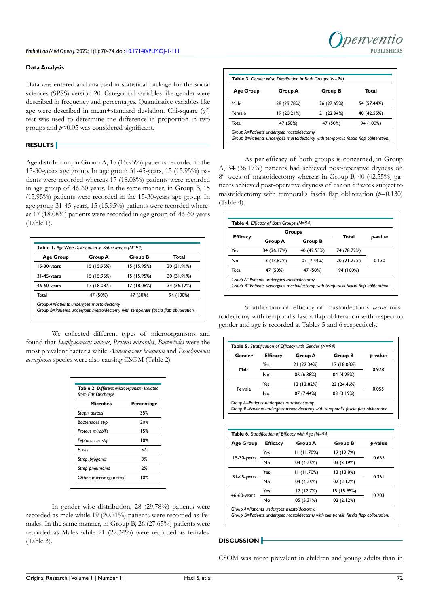### **Data Analysis**

Data was entered and analysed in statistical package for the social sciences (SPSS) version 20. Categorical variables like gender were described in frequency and percentages. Quantitative variables like age were described in mean+standard deviation. Chi-square  $(\chi^2)$ test was used to determine the difference in proportion in two groups and *p*<0.05 was considered significant.

## **RESULTS**

Age distribution, in Group A, 15 (15.95%) patients recorded in the 15-30-years age group. In age group 31-45-years, 15 (15.95%) patients were recorded whereas 17 (18.08%) patients were recorded in age group of 46-60-years. In the same manner, in Group B, 15 (15.95%) patients were recorded in the 15-30-years age group. In age group 31-45-years, 15 (15.95%) patients were recorded whereas 17 (18.08%) patients were recorded in age group of 46-60-years (Table 1).

| <b>Age Group</b> | Group A     | Group B     | Total       |
|------------------|-------------|-------------|-------------|
| 15-30-years      | 15 (15.95%) | 15 (15.95%) | 30 (31.91%) |
| 31-45-years      | 15 (15.95%) | 15 (15.95%) | 30 (31.91%) |
| 46-60-years      | 17 (18.08%) | 17 (18.08%) | 34 (36.17%) |
| Total            | 47 (50%)    | 47 (50%)    | 94 (100%)   |

We collected different types of microorganisms and found that *Staphylococcus aureus*, *Proteus mirabilis*, *Bacteriodes* were the most prevalent bacteria while *Acinetobacter boumenii* and *Pseudomonas aeruginosa* species were also causing CSOM (Table 2).

| Table 2. Different Microorganism Isolated<br>from Ear Discharge |                   |  |  |
|-----------------------------------------------------------------|-------------------|--|--|
| <b>Microbes</b>                                                 | <b>Percentage</b> |  |  |
| Staph. aureus                                                   | 35%               |  |  |
| Bacteriodes spp.                                                | 20%               |  |  |
| Proteus mirabilis                                               | 15%               |  |  |
| Peptococcus spp.                                                | 10%               |  |  |
| E. coli                                                         | 5%                |  |  |
| Strep. pyogenes                                                 | 3%                |  |  |
| Strep pneumonia                                                 | 2%                |  |  |
| Other microorganisms                                            | 10%               |  |  |

In gender wise distribution, 28 (29.78%) patients were recorded as male while 19 (20.21%) patients were recorded as Females. In the same manner, in Group B, 26 (27.65%) patients were recorded as Males while 21 (22.34%) were recorded as females. (Table 3).

| Age Group | Group A     | Group B     | Total       |
|-----------|-------------|-------------|-------------|
| Male      | 28 (29.78%) | 26 (27.65%) | 54 (57.44%) |
| Female    | 19 (20.21%) | 21 (22.34%) | 40 (42.55%) |
| Total     | 47 (50%)    | 47 (50%)    | 94 (100%)   |

**PUBLISHERS**

Denven

As per efficacy of both groups is concerned, in Group A, 34 (36.17%) patients had achieved post-operative dryness on 8<sup>th</sup> week of mastoidectomy whereas in Group B, 40 (42.55%) patients achieved post-operative dryness of ear on 8<sup>th</sup> week subject to mastoidectomy with temporalis fascia flap obliteration  $(p=0.130)$ (Table 4).

| <b>Efficacy</b> | Groups      |                | Total       |         |
|-----------------|-------------|----------------|-------------|---------|
|                 | Group A     | <b>Group B</b> |             | b-value |
| Yes             | 34 (36.17%) | 40 (42.55%)    | 74 (78.72%) | 0.130   |
| No              | 13 (13.82%) | 07 (7.44%)     | 20 (21.27%) |         |
| Total           | 47 (50%)    | 47 (50%)       | 94 (100%)   |         |

Stratification of efficacy of mastoidectomy *versus* mastoidectomy with temporalis fascia flap obliteration with respect to gender and age is recorded at Tables 5 and 6 respectively.

| Gender | <b>Efficacy</b> | Group A     | <b>Group B</b> | b-value |
|--------|-----------------|-------------|----------------|---------|
| Male   | Yes             | 21 (22.34%) | 17 (18.08%)    | 0978    |
|        | No              | 06 (6.38%)  | 04 (4.25%)     |         |
|        | Yes             | 13 (13.82%) | 23 (24.46%)    | 0.055   |
| Female | No              | 07 (7.44%)  | 03(3.19%)      |         |

| <b>Age Group</b> | <b>Efficacy</b> | Group A    | <b>Group B</b> | b-value |
|------------------|-----------------|------------|----------------|---------|
| 15-30-years      | Yes             | 11(11.70%) | 12 (12.7%)     | 0.665   |
|                  | No              | 04 (4.25%) | 03(3.19%)      |         |
| 31-45-years      | Yes             | 11(11.70%) | 13 (13.8%)     | 0.361   |
|                  | No              | 04 (4.25%) | 02(2.12%)      |         |
| 46-60-years      | Yes             | 12(12.7%)  | 15 (15.95%)    | 0.203   |
|                  | No              | 05 (5.31%) | 02(2.12%)      |         |

#### **DISCUSSION**

CSOM was more prevalent in children and young adults than in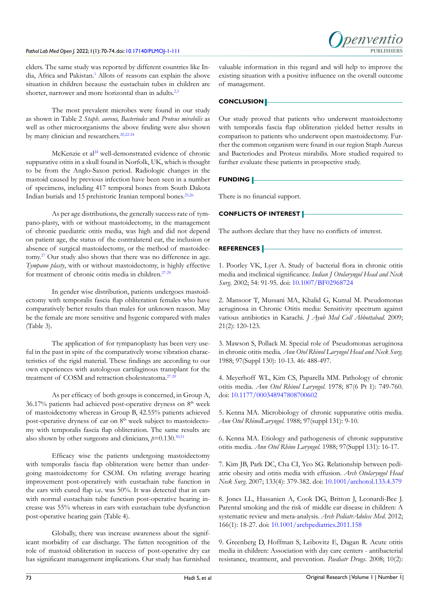## *Pathol Lab Med Open J.* 2022; 1(1): 70-74. doi: [10.17140/PLMOJ-1-111](http://dx.doi.org/10.17140/PLMOJ-1-111)



elders. The same study was reported by different countries like In-dia, Africa and Pakistan.<sup>[1](#page-3-0)</sup> Allots of reasons can explain the above situation in children because the eustachain tubes in children are shorter, narrower and more horizontal than in adults.<sup>[2,3](#page-3-3)</sup>

The most prevalent microbes were found in our study as shown in Table 2 *Staph. aureus, Bacteriodes* and *Proteus mirabilis* as well as other microorganisms the above finding were also shown by many clinician and researchers.<sup>[20,](#page-4-2)[22-24](#page-4-3)</sup>

McKenzie et al<sup>[24](#page-4-4)</sup> well-demonstrated evidence of chronic suppurative otitis in a skull found in Norfolk, UK, which is thought to be from the Anglo-Saxon period. Radiologic changes in the mastoid caused by previous infection have been seen in a number of specimens, including 417 temporal bones from South Dakota Indian burials and 15 prehistoric Iranian temporal bones[.25,26](#page-4-5)

As per age distributions, the generally success rate of tympano-plasty, with or without mastoidectomy, in the management of chronic paediatric otitis media, was high and did not depend on patient age, the status of the contralateral ear, the inclusion or absence of surgical mastoidectomy, or the method of mastoidectomy[.27](#page-4-6) Our study also shows that there was no difference in age. *Tympano plasty*, with or without mastoidectomy, is highly effective for treatment of chronic otitis media in children.<sup>[27-29](#page-4-6)</sup>

In gender wise distribution, patients undergoes mastoidectomy with temporalis fascia flap obliteration females who have comparatively better results than males for unknown reason. May be the female are more sensitive and hygenic compared with males (Table 3).

The application of for tympanoplasty has been very useful in the past in spite of the comparatively worse vibration characteristics of the rigid material. These findings are according to our own experiences with autologous cartilaginous transplant for the treatment of COSM and retraction cholesteatoma.[27-29](#page-4-6)

As per efficacy of both groups is concerned, in Group A,  $36.17\%$  patients had achieved post-operative dryness on  $8<sup>th</sup>$  week of mastoidectomy whereas in Group B, 42.55% patients achieved post-operative dryness of ear on 8<sup>th</sup> week subject to mastoidectomy with temporalis fascia flap obliteration. The same results are also shown by other surgeons and clinicians,  $p=0.130$ ,  $30,31$ 

Efficacy wise the patients undergoing mastoidectomy with temporalis fascia flap obliteration were better than undergoing mastoidectomy for CSOM. On relating average hearing improvement post-operatively with eustachain tube function in the ears with cured flap i.e. was 50%. It was detected that in ears with normal eustachain tube function post-operative hearing increase was 55% whereas in ears with eustachain tube dysfunction post-operative hearing gain (Table 4).

Globally, there was increase awareness about the significant morbidity of ear discharge. The fatten recognition of the role of mastoid obliteration in success of post-operative dry ear has significant management implications. Our study has furnished

valuable information in this regard and will help to improve the existing situation with a positive influence on the overall outcome of management.

#### **CONCLUSION**

Our study proved that patients who underwent mastoidectomy with temporalis fascia flap obliteration yielded better results in comparison to patients who underwent open mastoidectomy. Further the common organism were found in our region Staph Aureus and Bacteriodes and Proteus mirabilis. More studied required to further evaluate these patients in prospective study.

#### **FUNDING**

There is no financial support.

## **CONFLICTS OF INTEREST**

The authors declare that they have no conflicts of interest.

## **REFERENCES**

<span id="page-3-0"></span>1. Poorley VK, Lyer A. Study of bacterial flora in chronic otitis media and itsclinical significance. *Indian J Otolaryngol Head and Neck Surg.* 2002; 54: 91-95. doi: [10.1007/BF02968724](http://doi.org/10.1007/BF02968724)

<span id="page-3-3"></span>2. Mansoor T, Mussani MA, Khalid G, Kumal M. Pseudomonas aeruginosa in Chronic Otitis media: Sensitivity spectrum against various antibiotics in Karachi. *J Ayub Med Coll Abbottabad*. 2009; 21(2): 120-123.

<span id="page-3-1"></span>3. Mawson S, Pollack M. Special role of Pseudomonas aeruginosa in chronic otitis media. *Ann Otol Rhinol Laryngol Head and Neck Surg*. 1988; 97(Suppl 130): 10-13. 46: 488-497.

4. Meyerhoff WL, Kim CS, Paparella MM. Pathology of chronic otitis media. *Ann Otol Rhinol Laryngol*. 1978; 87(6 Pt 1): 749-760. doi: [10.1177/000348947808700602](http://doi.org/10.1177/000348947808700602)

5. Kenna MA. Microbiology of chronic suppurative otitis media. *Ann Otol RhinolLaryngol*. 1988; 97(suppl 131): 9-10.

<span id="page-3-2"></span>6. Kenna MA. Etiology and pathogenesis of chronic suppurative otitis media. *Ann Otol Rhino Laryngol.* 1988; 97(Suppl 131): 16-17.

7. Kim JB, Park DC, Cha CI, Yeo SG. Relationship between pediatric obesity and otitis media with effusion. *Arch Otolaryngol Head Neck Surg*. 2007; 133(4): 379-382. doi: [10.1001/archotol.133.4.379](http://doi.org/10.1001/archotol.133.4.379)

8. Jones LL, Hassanien A, Cook DG, Britton J, Leonardi-Bee J. Parental smoking and the risk of middle ear disease in children: A systematic review and meta-analysis. *Arch PediatrAdolesc Med.* 2012; 166(1): 18-27. doi: [10.1001/archpediatrics.2011.158](http://doi.org/10.1001/archpediatrics.2011.158)

9. Greenberg D, Hoffman S, Leibovitz E, Dagan R. Acute otitis media in children: Association with day care centers - antibacterial resistance, treatment, and prevention. *Paediatr Drugs*. 2008; 10(2):